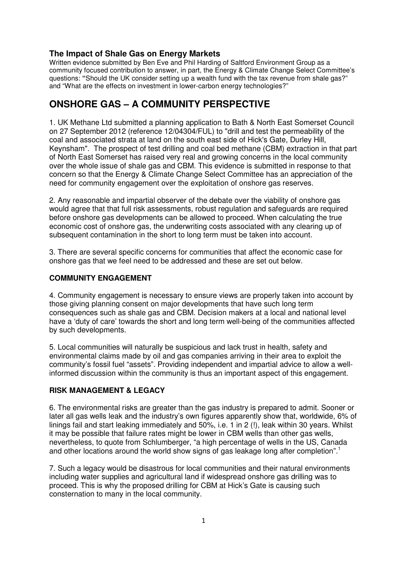## **The Impact of Shale Gas on Energy Markets**

Written evidence submitted by Ben Eve and Phil Harding of Saltford Environment Group as a community focused contribution to answer, in part, the Energy & Climate Change Select Committee's questions: **"**Should the UK consider setting up a wealth fund with the tax revenue from shale gas?" and "What are the effects on investment in lower-carbon energy technologies?"

# **ONSHORE GAS – A COMMUNITY PERSPECTIVE**

1. UK Methane Ltd submitted a planning application to Bath & North East Somerset Council on 27 September 2012 (reference 12/04304/FUL) to "drill and test the permeability of the coal and associated strata at land on the south east side of Hick's Gate, Durley Hill, Keynsham". The prospect of test drilling and coal bed methane (CBM) extraction in that part of North East Somerset has raised very real and growing concerns in the local community over the whole issue of shale gas and CBM. This evidence is submitted in response to that concern so that the Energy & Climate Change Select Committee has an appreciation of the need for community engagement over the exploitation of onshore gas reserves.

2. Any reasonable and impartial observer of the debate over the viability of onshore gas would agree that that full risk assessments, robust regulation and safeguards are required before onshore gas developments can be allowed to proceed. When calculating the true economic cost of onshore gas, the underwriting costs associated with any clearing up of subsequent contamination in the short to long term must be taken into account.

3. There are several specific concerns for communities that affect the economic case for onshore gas that we feel need to be addressed and these are set out below.

## **COMMUNITY ENGAGEMENT**

4. Community engagement is necessary to ensure views are properly taken into account by those giving planning consent on major developments that have such long term consequences such as shale gas and CBM. Decision makers at a local and national level have a 'duty of care' towards the short and long term well-being of the communities affected by such developments.

5. Local communities will naturally be suspicious and lack trust in health, safety and environmental claims made by oil and gas companies arriving in their area to exploit the community's fossil fuel "assets". Providing independent and impartial advice to allow a wellinformed discussion within the community is thus an important aspect of this engagement.

## **RISK MANAGEMENT & LEGACY**

6. The environmental risks are greater than the gas industry is prepared to admit. Sooner or later all gas wells leak and the industry's own figures apparently show that, worldwide, 6% of linings fail and start leaking immediately and 50%, i.e. 1 in 2 (!), leak within 30 years. Whilst it may be possible that failure rates might be lower in CBM wells than other gas wells, nevertheless, to quote from Schlumberger, "a high percentage of wells in the US, Canada and other locations around the world show signs of gas leakage long after completion".<sup>1</sup>

7. Such a legacy would be disastrous for local communities and their natural environments including water supplies and agricultural land if widespread onshore gas drilling was to proceed. This is why the proposed drilling for CBM at Hick's Gate is causing such consternation to many in the local community.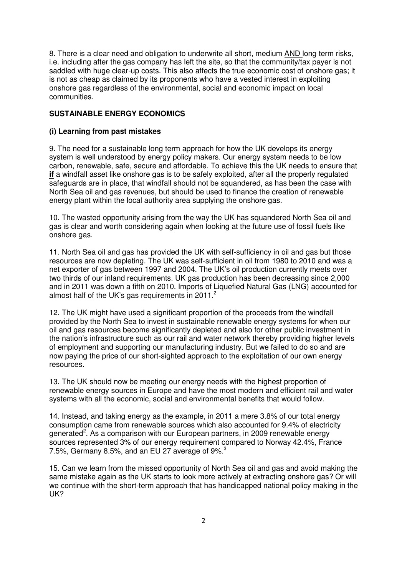8. There is a clear need and obligation to underwrite all short, medium AND long term risks, i.e. including after the gas company has left the site, so that the community/tax payer is not saddled with huge clear-up costs. This also affects the true economic cost of onshore gas; it is not as cheap as claimed by its proponents who have a vested interest in exploiting onshore gas regardless of the environmental, social and economic impact on local communities.

## **SUSTAINABLE ENERGY ECONOMICS**

#### **(i) Learning from past mistakes**

9. The need for a sustainable long term approach for how the UK develops its energy system is well understood by energy policy makers. Our energy system needs to be low carbon, renewable, safe, secure and affordable. To achieve this the UK needs to ensure that **if** a windfall asset like onshore gas is to be safely exploited, after all the properly regulated safeguards are in place, that windfall should not be squandered, as has been the case with North Sea oil and gas revenues, but should be used to finance the creation of renewable energy plant within the local authority area supplying the onshore gas.

10. The wasted opportunity arising from the way the UK has squandered North Sea oil and gas is clear and worth considering again when looking at the future use of fossil fuels like onshore gas.

11. North Sea oil and gas has provided the UK with self-sufficiency in oil and gas but those resources are now depleting. The UK was self-sufficient in oil from 1980 to 2010 and was a net exporter of gas between 1997 and 2004. The UK's oil production currently meets over two thirds of our inland requirements. UK gas production has been decreasing since 2,000 and in 2011 was down a fifth on 2010. Imports of Liquefied Natural Gas (LNG) accounted for almost half of the UK's gas requirements in 2011.<sup>2</sup>

12. The UK might have used a significant proportion of the proceeds from the windfall provided by the North Sea to invest in sustainable renewable energy systems for when our oil and gas resources become significantly depleted and also for other public investment in the nation's infrastructure such as our rail and water network thereby providing higher levels of employment and supporting our manufacturing industry. But we failed to do so and are now paying the price of our short-sighted approach to the exploitation of our own energy resources.

13. The UK should now be meeting our energy needs with the highest proportion of renewable energy sources in Europe and have the most modern and efficient rail and water systems with all the economic, social and environmental benefits that would follow.

14. Instead, and taking energy as the example, in 2011 a mere 3.8% of our total energy consumption came from renewable sources which also accounted for 9.4% of electricity generated<sup>2</sup>. As a comparison with our European partners, in 2009 renewable energy sources represented 3% of our energy requirement compared to Norway 42.4%, France 7.5%, Germany 8.5%, and an EU 27 average of 9%.<sup>3</sup>

15. Can we learn from the missed opportunity of North Sea oil and gas and avoid making the same mistake again as the UK starts to look more actively at extracting onshore gas? Or will we continue with the short-term approach that has handicapped national policy making in the UK?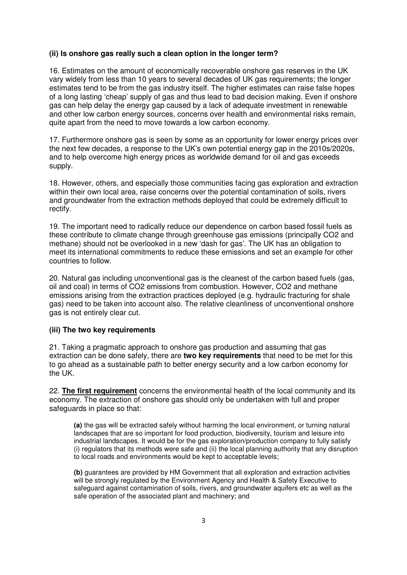#### **(ii) Is onshore gas really such a clean option in the longer term?**

16. Estimates on the amount of economically recoverable onshore gas reserves in the UK vary widely from less than 10 years to several decades of UK gas requirements; the longer estimates tend to be from the gas industry itself. The higher estimates can raise false hopes of a long lasting 'cheap' supply of gas and thus lead to bad decision making. Even if onshore gas can help delay the energy gap caused by a lack of adequate investment in renewable and other low carbon energy sources, concerns over health and environmental risks remain, quite apart from the need to move towards a low carbon economy.

17. Furthermore onshore gas is seen by some as an opportunity for lower energy prices over the next few decades, a response to the UK's own potential energy gap in the 2010s/2020s, and to help overcome high energy prices as worldwide demand for oil and gas exceeds supply.

18. However, others, and especially those communities facing gas exploration and extraction within their own local area, raise concerns over the potential contamination of soils, rivers and groundwater from the extraction methods deployed that could be extremely difficult to rectify.

19. The important need to radically reduce our dependence on carbon based fossil fuels as these contribute to climate change through greenhouse gas emissions (principally CO2 and methane) should not be overlooked in a new 'dash for gas'. The UK has an obligation to meet its international commitments to reduce these emissions and set an example for other countries to follow.

20. Natural gas including unconventional gas is the cleanest of the carbon based fuels (gas, oil and coal) in terms of CO2 emissions from combustion. However, CO2 and methane emissions arising from the extraction practices deployed (e.g. hydraulic fracturing for shale gas) need to be taken into account also. The relative cleanliness of unconventional onshore gas is not entirely clear cut.

#### **(iii) The two key requirements**

21. Taking a pragmatic approach to onshore gas production and assuming that gas extraction can be done safely, there are **two key requirements** that need to be met for this to go ahead as a sustainable path to better energy security and a low carbon economy for the UK.

22. **The first requirement** concerns the environmental health of the local community and its economy. The extraction of onshore gas should only be undertaken with full and proper safeguards in place so that:

**(a)** the gas will be extracted safely without harming the local environment, or turning natural landscapes that are so important for food production, biodiversity, tourism and leisure into industrial landscapes. It would be for the gas exploration/production company to fully satisfy (i) regulators that its methods were safe and (ii) the local planning authority that any disruption to local roads and environments would be kept to acceptable levels;

**(b)** guarantees are provided by HM Government that all exploration and extraction activities will be strongly regulated by the Environment Agency and Health & Safety Executive to safeguard against contamination of soils, rivers, and groundwater aquifers etc as well as the safe operation of the associated plant and machinery; and